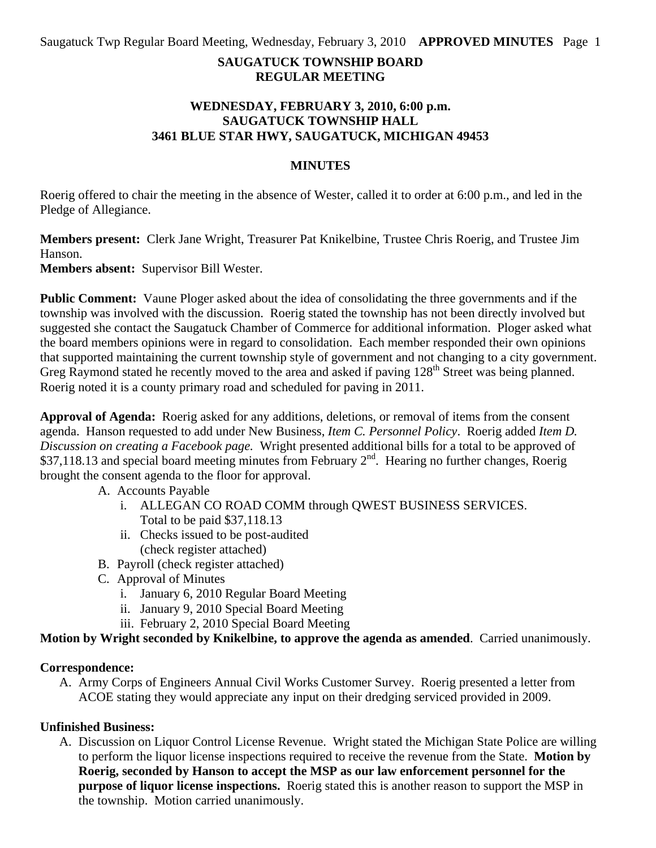### **SAUGATUCK TOWNSHIP BOARD REGULAR MEETING**

#### **WEDNESDAY, FEBRUARY 3, 2010, 6:00 p.m. SAUGATUCK TOWNSHIP HALL 3461 BLUE STAR HWY, SAUGATUCK, MICHIGAN 49453**

#### **MINUTES**

Roerig offered to chair the meeting in the absence of Wester, called it to order at 6:00 p.m., and led in the Pledge of Allegiance.

**Members present:** Clerk Jane Wright, Treasurer Pat Knikelbine, Trustee Chris Roerig, and Trustee Jim Hanson.

**Members absent:** Supervisor Bill Wester.

**Public Comment:** Vaune Ploger asked about the idea of consolidating the three governments and if the township was involved with the discussion. Roerig stated the township has not been directly involved but suggested she contact the Saugatuck Chamber of Commerce for additional information. Ploger asked what the board members opinions were in regard to consolidation. Each member responded their own opinions that supported maintaining the current township style of government and not changing to a city government. Greg Raymond stated he recently moved to the area and asked if paving 128<sup>th</sup> Street was being planned. Roerig noted it is a county primary road and scheduled for paving in 2011.

**Approval of Agenda:** Roerig asked for any additions, deletions, or removal of items from the consent agenda. Hanson requested to add under New Business, *Item C. Personnel Policy*. Roerig added *Item D. Discussion on creating a Facebook page.* Wright presented additional bills for a total to be approved of \$37,118.13 and special board meeting minutes from February  $2<sup>nd</sup>$ . Hearing no further changes, Roerig brought the consent agenda to the floor for approval.

A. Accounts Payable

- i. ALLEGAN CO ROAD COMM through QWEST BUSINESS SERVICES. Total to be paid \$37,118.13
- ii. Checks issued to be post-audited (check register attached)
- B. Payroll (check register attached)
- C. Approval of Minutes
	- i. January 6, 2010 Regular Board Meeting
	- ii. January 9, 2010 Special Board Meeting
	- iii. February 2, 2010 Special Board Meeting

**Motion by Wright seconded by Knikelbine, to approve the agenda as amended**. Carried unanimously.

#### **Correspondence:**

A. Army Corps of Engineers Annual Civil Works Customer Survey. Roerig presented a letter from ACOE stating they would appreciate any input on their dredging serviced provided in 2009.

#### **Unfinished Business:**

A. Discussion on Liquor Control License Revenue. Wright stated the Michigan State Police are willing to perform the liquor license inspections required to receive the revenue from the State. **Motion by Roerig, seconded by Hanson to accept the MSP as our law enforcement personnel for the purpose of liquor license inspections.** Roerig stated this is another reason to support the MSP in the township. Motion carried unanimously.